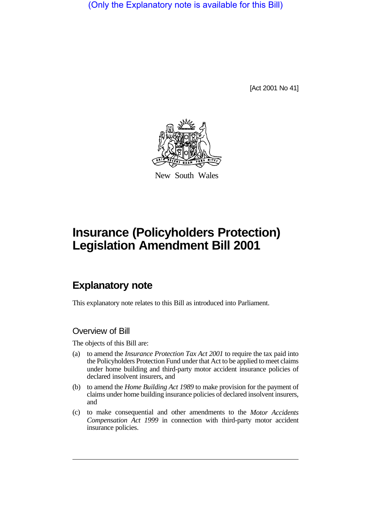(Only the Explanatory note is available for this Bill)

[Act 2001 No 41]



New South Wales

# **Insurance (Policyholders Protection) Legislation Amendment Bill 2001**

# **Explanatory note**

This explanatory note relates to this Bill as introduced into Parliament.

## Overview of Bill

The objects of this Bill are:

- (a) to amend the *Insurance Protection Tax Act 2001* to require the tax paid into the Policyholders Protection Fund under that Act to be applied to meet claims under home building and third-party motor accident insurance policies of declared insolvent insurers, and
- (b) to amend the *Home Building Act 1989* to make provision for the payment of claims under home building insurance policies of declared insolvent insurers, and
- (c) to make consequential and other amendments to the *Motor Accidents Compensation Act 1999* in connection with third-party motor accident insurance policies.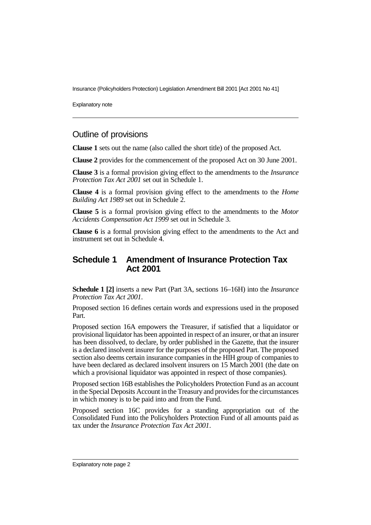Explanatory note

#### Outline of provisions

**Clause 1** sets out the name (also called the short title) of the proposed Act.

**Clause 2** provides for the commencement of the proposed Act on 30 June 2001.

**Clause 3** is a formal provision giving effect to the amendments to the *Insurance Protection Tax Act 2001* set out in Schedule 1.

**Clause 4** is a formal provision giving effect to the amendments to the *Home Building Act 1989* set out in Schedule 2.

**Clause 5** is a formal provision giving effect to the amendments to the *Motor Accidents Compensation Act 1999* set out in Schedule 3.

**Clause 6** is a formal provision giving effect to the amendments to the Act and instrument set out in Schedule 4.

#### **Schedule 1 Amendment of Insurance Protection Tax Act 2001**

**Schedule 1 [2]** inserts a new Part (Part 3A, sections 16–16H) into the *Insurance Protection Tax Act 2001*.

Proposed section 16 defines certain words and expressions used in the proposed Part.

Proposed section 16A empowers the Treasurer, if satisfied that a liquidator or provisional liquidator has been appointed in respect of an insurer, or that an insurer has been dissolved, to declare, by order published in the Gazette, that the insurer is a declared insolvent insurer for the purposes of the proposed Part. The proposed section also deems certain insurance companies in the HIH group of companies to have been declared as declared insolvent insurers on 15 March 2001 (the date on which a provisional liquidator was appointed in respect of those companies).

Proposed section 16B establishes the Policyholders Protection Fund as an account in the Special Deposits Account in the Treasury and provides for the circumstances in which money is to be paid into and from the Fund.

Proposed section 16C provides for a standing appropriation out of the Consolidated Fund into the Policyholders Protection Fund of all amounts paid as tax under the *Insurance Protection Tax Act 2001*.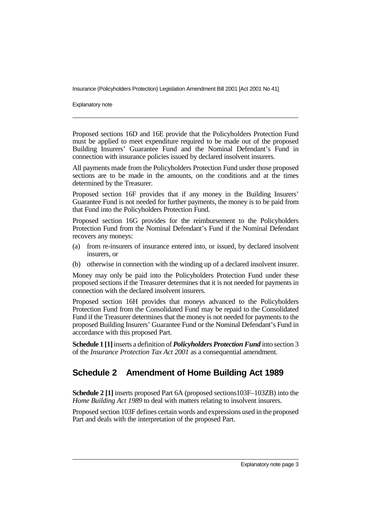Explanatory note

Proposed sections 16D and 16E provide that the Policyholders Protection Fund must be applied to meet expenditure required to be made out of the proposed Building Insurers' Guarantee Fund and the Nominal Defendant's Fund in connection with insurance policies issued by declared insolvent insurers.

All payments made from the Policyholders Protection Fund under those proposed sections are to be made in the amounts, on the conditions and at the times determined by the Treasurer.

Proposed section 16F provides that if any money in the Building Insurers' Guarantee Fund is not needed for further payments, the money is to be paid from that Fund into the Policyholders Protection Fund.

Proposed section 16G provides for the reimbursement to the Policyholders Protection Fund from the Nominal Defendant's Fund if the Nominal Defendant recovers any moneys:

- (a) from re-insurers of insurance entered into, or issued, by declared insolvent insurers, or
- (b) otherwise in connection with the winding up of a declared insolvent insurer.

Money may only be paid into the Policyholders Protection Fund under these proposed sections if the Treasurer determines that it is not needed for payments in connection with the declared insolvent insurers.

Proposed section 16H provides that moneys advanced to the Policyholders Protection Fund from the Consolidated Fund may be repaid to the Consolidated Fund if the Treasurer determines that the money is not needed for payments to the proposed Building Insurers' Guarantee Fund or the Nominal Defendant's Fund in accordance with this proposed Part.

**Schedule 1 [1]** inserts a definition of *Policyholders Protection Fund* into section 3 of the *Insurance Protection Tax Act 2001* as a consequential amendment.

## **Schedule 2 Amendment of Home Building Act 1989**

**Schedule 2 [1]** inserts proposed Part 6A (proposed sections103F–103ZB) into the *Home Building Act 1989* to deal with matters relating to insolvent insurers.

Proposed section 103F defines certain words and expressions used in the proposed Part and deals with the interpretation of the proposed Part.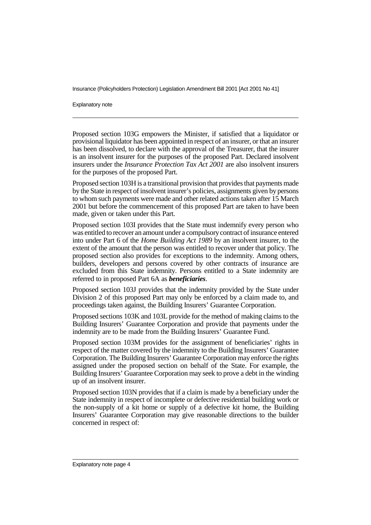Explanatory note

Proposed section 103G empowers the Minister, if satisfied that a liquidator or provisional liquidator has been appointed in respect of an insurer, or that an insurer has been dissolved, to declare with the approval of the Treasurer, that the insurer is an insolvent insurer for the purposes of the proposed Part. Declared insolvent insurers under the *Insurance Protection Tax Act 2001* are also insolvent insurers for the purposes of the proposed Part.

Proposed section 103H is a transitional provision that provides that payments made by the State in respect of insolvent insurer's policies, assignments given by persons to whom such payments were made and other related actions taken after 15 March 2001 but before the commencement of this proposed Part are taken to have been made, given or taken under this Part.

Proposed section 103I provides that the State must indemnify every person who was entitled to recover an amount under a compulsory contract of insurance entered into under Part 6 of the *Home Building Act 1989* by an insolvent insurer, to the extent of the amount that the person was entitled to recover under that policy. The proposed section also provides for exceptions to the indemnity. Among others, builders, developers and persons covered by other contracts of insurance are excluded from this State indemnity. Persons entitled to a State indemnity are referred to in proposed Part 6A as *beneficiaries*.

Proposed section 103J provides that the indemnity provided by the State under Division 2 of this proposed Part may only be enforced by a claim made to, and proceedings taken against, the Building Insurers' Guarantee Corporation.

Proposed sections 103K and 103L provide for the method of making claims to the Building Insurers' Guarantee Corporation and provide that payments under the indemnity are to be made from the Building Insurers' Guarantee Fund.

Proposed section 103M provides for the assignment of beneficiaries' rights in respect of the matter covered by the indemnity to the Building Insurers' Guarantee Corporation. The Building Insurers' Guarantee Corporation may enforce the rights assigned under the proposed section on behalf of the State. For example, the Building Insurers' Guarantee Corporation may seek to prove a debt in the winding up of an insolvent insurer.

Proposed section 103N provides that if a claim is made by a beneficiary under the State indemnity in respect of incomplete or defective residential building work or the non-supply of a kit home or supply of a defective kit home, the Building Insurers' Guarantee Corporation may give reasonable directions to the builder concerned in respect of: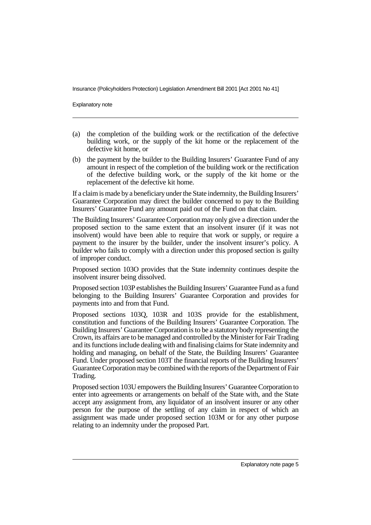Explanatory note

- (a) the completion of the building work or the rectification of the defective building work, or the supply of the kit home or the replacement of the defective kit home, or
- (b) the payment by the builder to the Building Insurers' Guarantee Fund of any amount in respect of the completion of the building work or the rectification of the defective building work, or the supply of the kit home or the replacement of the defective kit home.

If a claim is made by a beneficiary under the State indemnity, the Building Insurers' Guarantee Corporation may direct the builder concerned to pay to the Building Insurers' Guarantee Fund any amount paid out of the Fund on that claim.

The Building Insurers' Guarantee Corporation may only give a direction under the proposed section to the same extent that an insolvent insurer (if it was not insolvent) would have been able to require that work or supply, or require a payment to the insurer by the builder, under the insolvent insurer's policy. A builder who fails to comply with a direction under this proposed section is guilty of improper conduct.

Proposed section 103O provides that the State indemnity continues despite the insolvent insurer being dissolved.

Proposed section 103P establishes the Building Insurers' Guarantee Fund as a fund belonging to the Building Insurers' Guarantee Corporation and provides for payments into and from that Fund.

Proposed sections 103Q, 103R and 103S provide for the establishment, constitution and functions of the Building Insurers' Guarantee Corporation. The Building Insurers' Guarantee Corporation is to be a statutory body representing the Crown, its affairs are to be managed and controlled by the Minister for Fair Trading and its functions include dealing with and finalising claims for State indemnity and holding and managing, on behalf of the State, the Building Insurers' Guarantee Fund. Under proposed section 103T the financial reports of the Building Insurers' Guarantee Corporation may be combined with the reports of the Department of Fair Trading.

Proposed section 103U empowers the Building Insurers' Guarantee Corporation to enter into agreements or arrangements on behalf of the State with, and the State accept any assignment from, any liquidator of an insolvent insurer or any other person for the purpose of the settling of any claim in respect of which an assignment was made under proposed section 103M or for any other purpose relating to an indemnity under the proposed Part.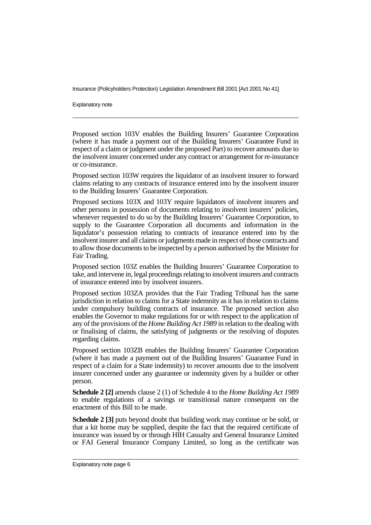Explanatory note

Proposed section 103V enables the Building Insurers' Guarantee Corporation (where it has made a payment out of the Building Insurers' Guarantee Fund in respect of a claim or judgment under the proposed Part) to recover amounts due to the insolvent insurer concerned under any contract or arrangement for re-insurance or co-insurance.

Proposed section 103W requires the liquidator of an insolvent insurer to forward claims relating to any contracts of insurance entered into by the insolvent insurer to the Building Insurers' Guarantee Corporation.

Proposed sections 103X and 103Y require liquidators of insolvent insurers and other persons in possession of documents relating to insolvent insurers' policies, whenever requested to do so by the Building Insurers' Guarantee Corporation, to supply to the Guarantee Corporation all documents and information in the liquidator's possession relating to contracts of insurance entered into by the insolvent insurer and all claims or judgments made in respect of those contracts and to allow those documents to be inspected by a person authorised by the Minister for Fair Trading.

Proposed section 103Z enables the Building Insurers' Guarantee Corporation to take, and intervene in, legal proceedings relating to insolvent insurers and contracts of insurance entered into by insolvent insurers.

Proposed section 103ZA provides that the Fair Trading Tribunal has the same jurisdiction in relation to claims for a State indemnity as it has in relation to claims under compulsory building contracts of insurance. The proposed section also enables the Governor to make regulations for or with respect to the application of any of the provisions of the *Home Building Act 1989* in relation to the dealing with or finalising of claims, the satisfying of judgments or the resolving of disputes regarding claims.

Proposed section 103ZB enables the Building Insurers' Guarantee Corporation (where it has made a payment out of the Building Insurers' Guarantee Fund in respect of a claim for a State indemnity) to recover amounts due to the insolvent insurer concerned under any guarantee or indemnity given by a builder or other person.

**Schedule 2 [2]** amends clause 2 (1) of Schedule 4 to the *Home Building Act 1989* to enable regulations of a savings or transitional nature consequent on the enactment of this Bill to be made.

**Schedule 2 [3]** puts beyond doubt that building work may continue or be sold, or that a kit home may be supplied, despite the fact that the required certificate of insurance was issued by or through HIH Casualty and General Insurance Limited or FAI General Insurance Company Limited, so long as the certificate was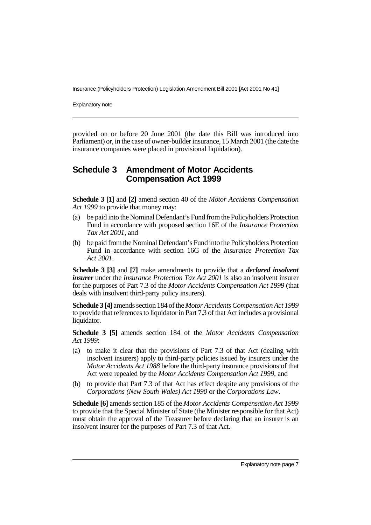Explanatory note

provided on or before 20 June 2001 (the date this Bill was introduced into Parliament) or, in the case of owner-builder insurance, 15 March 2001 (the date the insurance companies were placed in provisional liquidation).

#### **Schedule 3 Amendment of Motor Accidents Compensation Act 1999**

**Schedule 3 [1]** and **[2]** amend section 40 of the *Motor Accidents Compensation Act 1999* to provide that money may:

- (a) be paid into the Nominal Defendant's Fund from the Policyholders Protection Fund in accordance with proposed section 16E of the *Insurance Protection Tax Act 2001*, and
- (b) be paid from the Nominal Defendant's Fund into the Policyholders Protection Fund in accordance with section 16G of the *Insurance Protection Tax Act 2001*.

**Schedule 3 [3]** and **[7]** make amendments to provide that a *declared insolvent insurer* under the *Insurance Protection Tax Act 2001* is also an insolvent insurer for the purposes of Part 7.3 of the *Motor Accidents Compensation Act 1999* (that deals with insolvent third-party policy insurers).

**Schedule 3 [4]** amends section 184 of the *Motor Accidents Compensation Act 1999* to provide that references to liquidator in Part 7.3 of that Act includes a provisional liquidator.

**Schedule 3 [5]** amends section 184 of the *Motor Accidents Compensation Act 1999*:

- (a) to make it clear that the provisions of Part 7.3 of that Act (dealing with insolvent insurers) apply to third-party policies issued by insurers under the *Motor Accidents Act 1988* before the third-party insurance provisions of that Act were repealed by the *Motor Accidents Compensation Act 1999*, and
- (b) to provide that Part 7.3 of that Act has effect despite any provisions of the *Corporations (New South Wales) Act 1990* or the *Corporations Law*.

**Schedule [6]** amends section 185 of the *Motor Accidents Compensation Act 1999* to provide that the Special Minister of State (the Minister responsible for that Act) must obtain the approval of the Treasurer before declaring that an insurer is an insolvent insurer for the purposes of Part 7.3 of that Act.